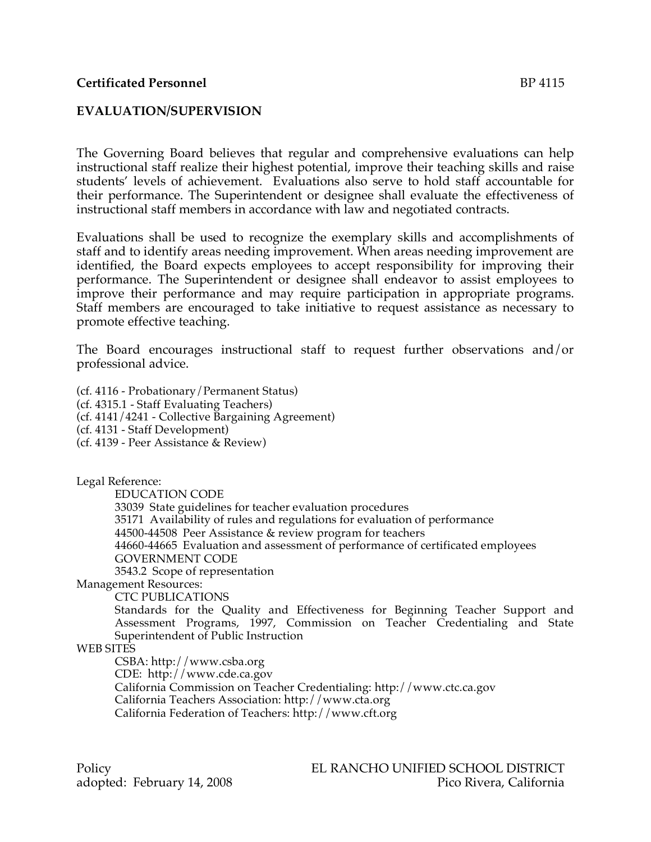# **EVALUATION/SUPERVISION**

The Governing Board believes that regular and comprehensive evaluations can help instructional staff realize their highest potential, improve their teaching skills and raise students' levels of achievement. Evaluations also serve to hold staff accountable for their performance. The Superintendent or designee shall evaluate the effectiveness of instructional staff members in accordance with law and negotiated contracts.

Evaluations shall be used to recognize the exemplary skills and accomplishments of staff and to identify areas needing improvement. When areas needing improvement are identified, the Board expects employees to accept responsibility for improving their performance. The Superintendent or designee shall endeavor to assist employees to improve their performance and may require participation in appropriate programs. Staff members are encouraged to take initiative to request assistance as necessary to promote effective teaching.

The Board encourages instructional staff to request further observations and/or professional advice.

(cf. 4116 - Probationary/Permanent Status) (cf. 4315.1 - Staff Evaluating Teachers) (cf. 4141/4241 - Collective Bargaining Agreement) (cf. 4131 - Staff Development) (cf. 4139 - Peer Assistance & Review)

Legal Reference:

EDUCATION CODE

33039 State guidelines for teacher evaluation procedures 35171 Availability of rules and regulations for evaluation of performance 44500-44508 Peer Assistance & review program for teachers 44660-44665 Evaluation and assessment of performance of certificated employees GOVERNMENT CODE 3543.2 Scope of representation

Management Resources:

CTC PUBLICATIONS

Standards for the Quality and Effectiveness for Beginning Teacher Support and Assessment Programs, 1997, Commission on Teacher Credentialing and State Superintendent of Public Instruction

### WEB SITES

CSBA: http://www.csba.org

CDE: http://www.cde.ca.gov

California Commission on Teacher Credentialing: http://www.ctc.ca.gov

California Teachers Association: http://www.cta.org

California Federation of Teachers: http://www.cft.org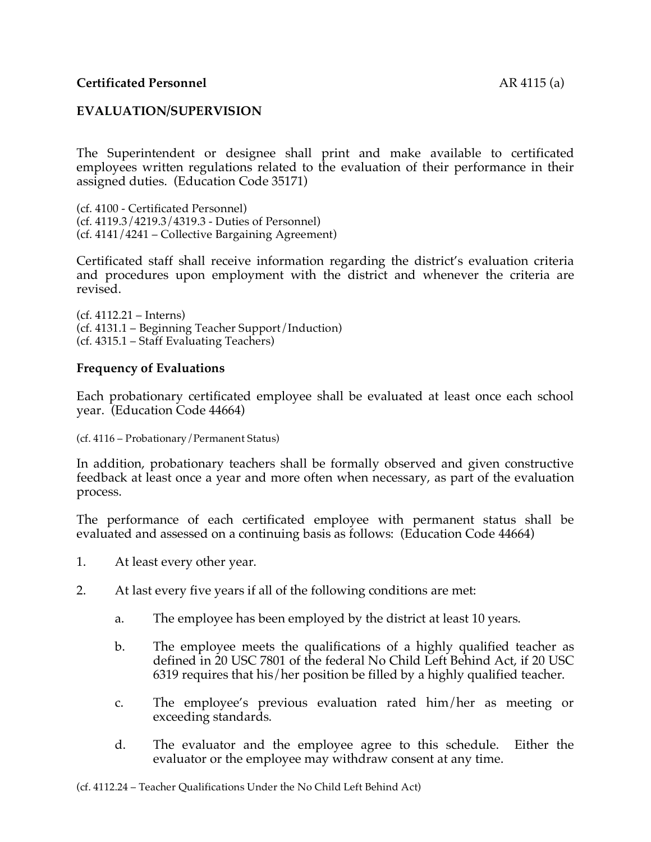## **Certificated Personnel** AR 4115 (a)

### **EVALUATION/SUPERVISION**

The Superintendent or designee shall print and make available to certificated employees written regulations related to the evaluation of their performance in their assigned duties. (Education Code 35171)

(cf. 4100 - Certificated Personnel) (cf. 4119.3/4219.3/4319.3 - Duties of Personnel) (cf. 4141/4241 – Collective Bargaining Agreement)

Certificated staff shall receive information regarding the district's evaluation criteria and procedures upon employment with the district and whenever the criteria are revised.

(cf. 4112.21 – Interns) (cf. 4131.1 – Beginning Teacher Support/Induction) (cf. 4315.1 – Staff Evaluating Teachers)

#### **Frequency of Evaluations**

Each probationary certificated employee shall be evaluated at least once each school year. (Education Code 44664)

#### (cf. 4116 – Probationary/Permanent Status)

In addition, probationary teachers shall be formally observed and given constructive feedback at least once a year and more often when necessary, as part of the evaluation process.

The performance of each certificated employee with permanent status shall be evaluated and assessed on a continuing basis as follows: (Education Code 44664)

- 1. At least every other year.
- 2. At last every five years if all of the following conditions are met:
	- a. The employee has been employed by the district at least 10 years.
	- b. The employee meets the qualifications of a highly qualified teacher as defined in 20 USC 7801 of the federal No Child Left Behind Act, if 20 USC 6319 requires that his/her position be filled by a highly qualified teacher.
	- c. The employee's previous evaluation rated him/her as meeting or exceeding standards.
	- d. The evaluator and the employee agree to this schedule. Either the evaluator or the employee may withdraw consent at any time.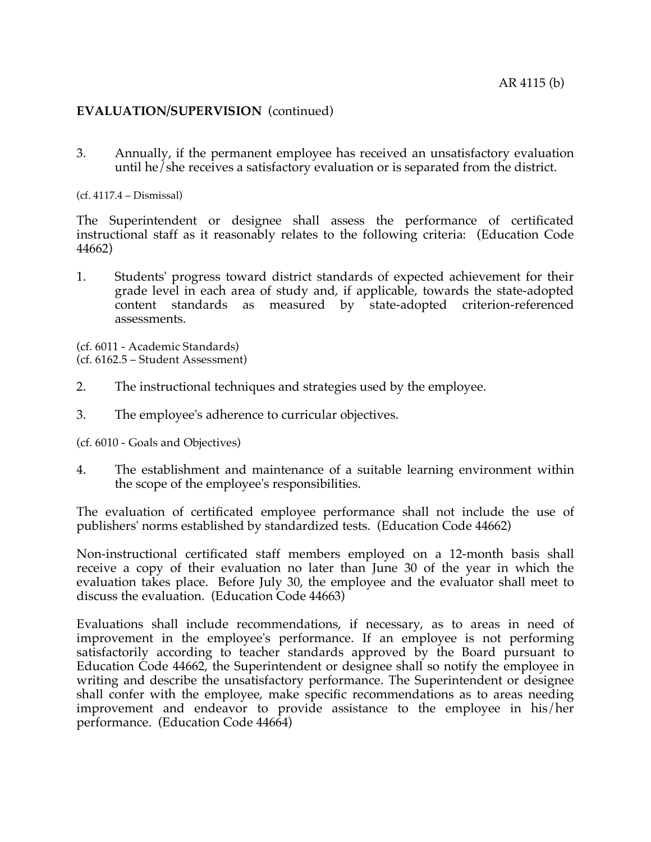## **EVALUATION/SUPERVISION** (continued)

3. Annually, if the permanent employee has received an unsatisfactory evaluation until he/she receives a satisfactory evaluation or is separated from the district.

(cf. 4117.4 – Dismissal)

The Superintendent or designee shall assess the performance of certificated instructional staff as it reasonably relates to the following criteria: (Education Code 44662)

1. Students' progress toward district standards of expected achievement for their grade level in each area of study and, if applicable, towards the state-adopted content standards as measured by state-adopted criterion-referenced assessments.

(cf. 6011 - Academic Standards) (cf. 6162.5 – Student Assessment)

- 2. The instructional techniques and strategies used by the employee.
- 3. The employee's adherence to curricular objectives.

(cf. 6010 - Goals and Objectives)

4. The establishment and maintenance of a suitable learning environment within the scope of the employee's responsibilities.

The evaluation of certificated employee performance shall not include the use of publishers' norms established by standardized tests. (Education Code 44662)

Non-instructional certificated staff members employed on a 12-month basis shall receive a copy of their evaluation no later than June 30 of the year in which the evaluation takes place. Before July 30, the employee and the evaluator shall meet to discuss the evaluation. (Education Code 44663)

Evaluations shall include recommendations, if necessary, as to areas in need of improvement in the employee's performance. If an employee is not performing satisfactorily according to teacher standards approved by the Board pursuant to Education Code 44662, the Superintendent or designee shall so notify the employee in writing and describe the unsatisfactory performance. The Superintendent or designee shall confer with the employee, make specific recommendations as to areas needing improvement and endeavor to provide assistance to the employee in his/her performance. (Education Code 44664)